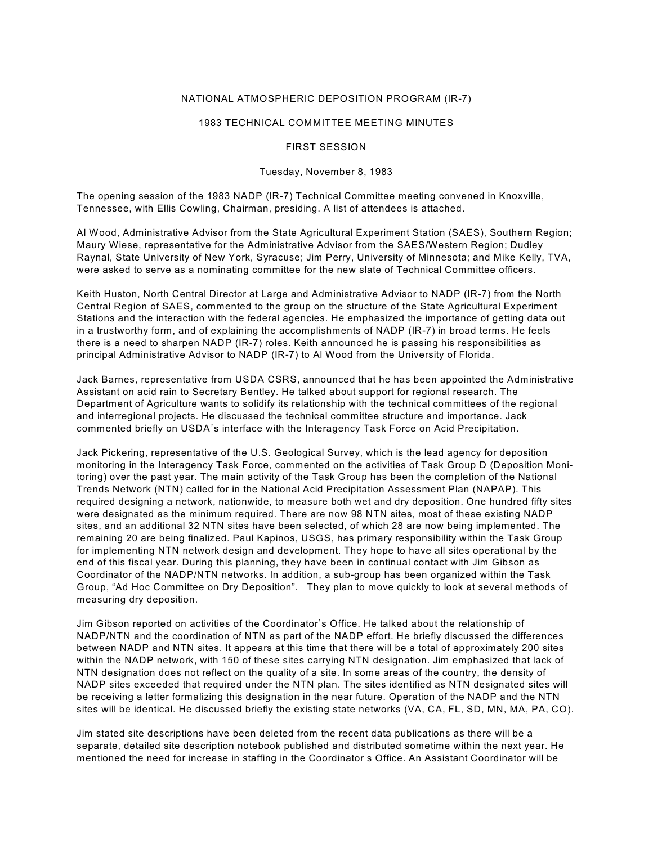#### NATIONAL ATMOSPHERIC DEPOSITION PROGRAM (IR-7)

#### 1983 TECHNICAL COMMITTEE MEETING MINUTES

#### FIRST SESSION

#### Tuesday, November 8, 1983

The opening session of the 1983 NADP (IR-7) Technical Committee meeting convened in Knoxville, Tennessee, with Ellis Cowling, Chairman, presiding. A list of attendees is attached.

Al Wood, Administrative Advisor from the State Agricultural Experiment Station (SAES), Southern Region; Maury Wiese, representative for the Administrative Advisor from the SAES/Western Region; Dudley Raynal, State University of New York, Syracuse; Jim Perry, University of Minnesota; and Mike Kelly, TVA, were asked to serve as a nominating committee for the new slate of Technical Committee officers.

Keith Huston, North Central Director at Large and Administrative Advisor to NADP (IR-7) from the North Central Region of SAES, commented to the group on the structure of the State Agricultural Experiment Stations and the interaction with the federal agencies. He emphasized the importance of getting data out in a trustworthy form, and of explaining the accomplishments of NADP (IR-7) in broad terms. He feels there is a need to sharpen NADP (IR-7) roles. Keith announced he is passing his responsibilities as principal Administrative Advisor to NADP (IR-7) to Al Wood from the University of Florida.

Jack Barnes, representative from USDA CSRS, announced that he has been appointed the Administrative Assistant on acid rain to Secretary Bentley. He talked about support for regional research. The Department of Agriculture wants to solidify its relationship with the technical committees of the regional and interregional projects. He discussed the technical committee structure and importance. Jack commented briefly on USDA's interface with the Interagency Task Force on Acid Precipitation.

Jack Pickering, representative of the U.S. Geological Survey, which is the lead agency for deposition monitoring in the Interagency Task Force, commented on the activities of Task Group D (Deposition Monitoring) over the past year. The main activity of the Task Group has been the completion of the National Trends Network (NTN) called for in the National Acid Precipitation Assessment Plan (NAPAP). This required designing a network, nationwide, to measure both wet and dry deposition. One hundred fifty sites were designated as the minimum required. There are now 98 NTN sites, most of these existing NADP sites, and an additional 32 NTN sites have been selected, of which 28 are now being implemented. The remaining 20 are being finalized. Paul Kapinos, USGS, has primary responsibility within the Task Group for implementing NTN network design and development. They hope to have all sites operational by the end of this fiscal year. During this planning, they have been in continual contact with Jim Gibson as Coordinator of the NADP/NTN networks. In addition, a sub-group has been organized within the Task Group, "Ad Hoc Committee on Dry Deposition". They plan to move quickly to look at several methods of measuring dry deposition.

Jim Gibson reported on activities of the Coordinator's Office. He talked about the relationship of NADP/NTN and the coordination of NTN as part of the NADP effort. He briefly discussed the differences between NADP and NTN sites. It appears at this time that there will be a total of approximately 200 sites within the NADP network, with 150 of these sites carrying NTN designation. Jim emphasized that lack of NTN designation does not reflect on the quality of a site. In some areas of the country, the density of NADP sites exceeded that required under the NTN plan. The sites identified as NTN designated sites will be receiving a letter formalizing this designation in the near future. Operation of the NADP and the NTN sites will be identical. He discussed briefly the existing state networks (VA, CA, FL, SD, MN, MA, PA, CO).

Jim stated site descriptions have been deleted from the recent data publications as there will be a separate, detailed site description notebook published and distributed sometime within the next year. He mentioned the need for increase in staffing in the Coordinator s Office. An Assistant Coordinator will be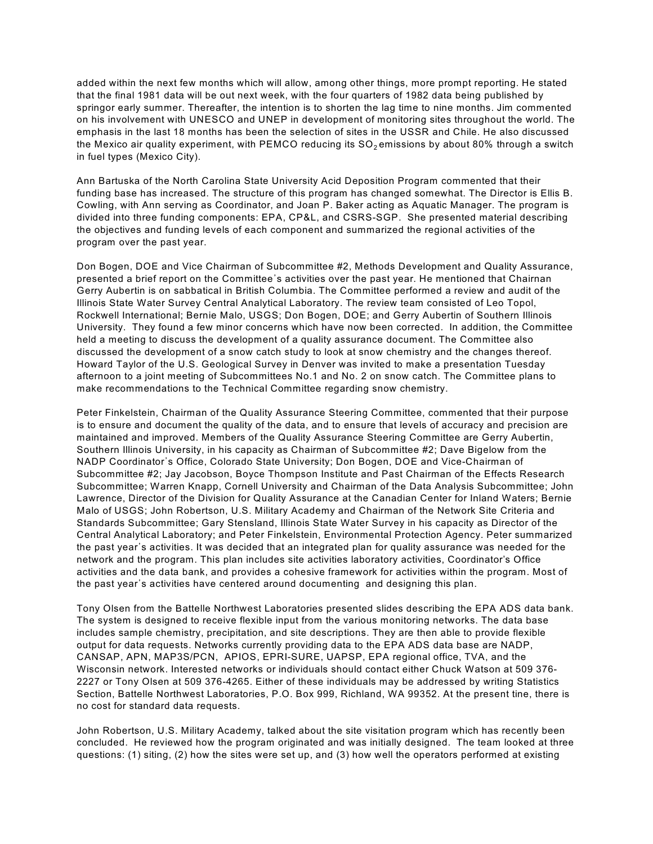added within the next few months which will allow, among other things, more prompt reporting. He stated that the final 1981 data will be out next week, with the four quarters of 1982 data being published by springor early summer. Thereafter, the intention is to shorten the lag time to nine months. Jim commented on his involvement with UNESCO and UNEP in development of monitoring sites throughout the world. The emphasis in the last 18 months has been the selection of sites in the USSR and Chile. He also discussed the Mexico air quality experiment, with PEMCO reducing its  $SO<sub>2</sub>$  emissions by about 80% through a switch in fuel types (Mexico City).

Ann Bartuska of the North Carolina State University Acid Deposition Program commented that their funding base has increased. The structure of this program has changed somewhat. The Director is Ellis B. Cowling, with Ann serving as Coordinator, and Joan P. Baker acting as Aquatic Manager. The program is divided into three funding components: EPA, CP&L, and CSRS-SGP. She presented material describing the objectives and funding levels of each component and summarized the regional activities of the program over the past year.

Don Bogen, DOE and Vice Chairman of Subcommittee #2, Methods Development and Quality Assurance, presented a brief report on the Committee's activities over the past year. He mentioned that Chairnan Gerry Aubertin is on sabbatical in British Columbia. The Committee performed a review and audit of the Illinois State Water Survey Central Analytical Laboratory. The review team consisted of Leo Topol, Rockwell International; Bernie Malo, USGS; Don Bogen, DOE; and Gerry Aubertin of Southern Illinois University. They found a few minor concerns which have now been corrected. In addition, the Committee held a meeting to discuss the development of a quality assurance document. The Committee also discussed the development of a snow catch study to look at snow chemistry and the changes thereof. Howard Taylor of the U.S. Geological Survey in Denver was invited to make a presentation Tuesday afternoon to a joint meeting of Subcommittees No.1 and No. 2 on snow catch. The Committee plans to make recommendations to the Technical Committee regarding snow chemistry.

Peter Finkelstein, Chairman of the Quality Assurance Steering Committee, commented that their purpose is to ensure and document the quality of the data, and to ensure that levels of accuracy and precision are maintained and improved. Members of the Quality Assurance Steering Committee are Gerry Aubertin, Southern Illinois University, in his capacity as Chairman of Subcommittee #2; Dave Bigelow from the NADP Coordinator's Office, Colorado State University; Don Bogen, DOE and Vice-Chairman of Subcommittee #2; Jay Jacobson, Boyce Thompson Institute and Past Chairman of the Effects Research Subcommittee; Warren Knapp, Cornell University and Chairman of the Data Analysis Subcommittee; John Lawrence, Director of the Division for Quality Assurance at the Canadian Center for Inland Waters; Bernie Malo of USGS; John Robertson, U.S. Military Academy and Chairman of the Network Site Criteria and Standards Subcommittee; Gary Stensland, Illinois State Water Survey in his capacity as Director of the Central Analytical Laboratory; and Peter Finkelstein, Environmental Protection Agency. Peter summarized the past year's activities. It was decided that an integrated plan for quality assurance was needed for the network and the program. This plan includes site activities laboratory activities, Coordinator's Office activities and the data bank, and provides a cohesive framework for activities within the program. Most of the past year's activities have centered around documenting and designing this plan.

Tony Olsen from the Battelle Northwest Laboratories presented slides describing the EPA ADS data bank. The system is designed to receive flexible input from the various monitoring networks. The data base includes sample chemistry, precipitation, and site descriptions. They are then able to provide flexible output for data requests. Networks currently providing data to the EPA ADS data base are NADP, CANSAP, APN, MAP3S/PCN, APIOS, EPRI-SURE, UAPSP, EPA regional office, TVA, and the Wisconsin network. Interested networks or individuals should contact either Chuck Watson at 509 376- 2227 or Tony Olsen at 509 376-4265. Either of these individuals may be addressed by writing Statistics Section, Battelle Northwest Laboratories, P.O. Box 999, Richland, WA 99352. At the present tine, there is no cost for standard data requests.

John Robertson, U.S. Military Academy, talked about the site visitation program which has recently been concluded. He reviewed how the program originated and was initially designed. The team looked at three questions: (1) siting, (2) how the sites were set up, and (3) how well the operators performed at existing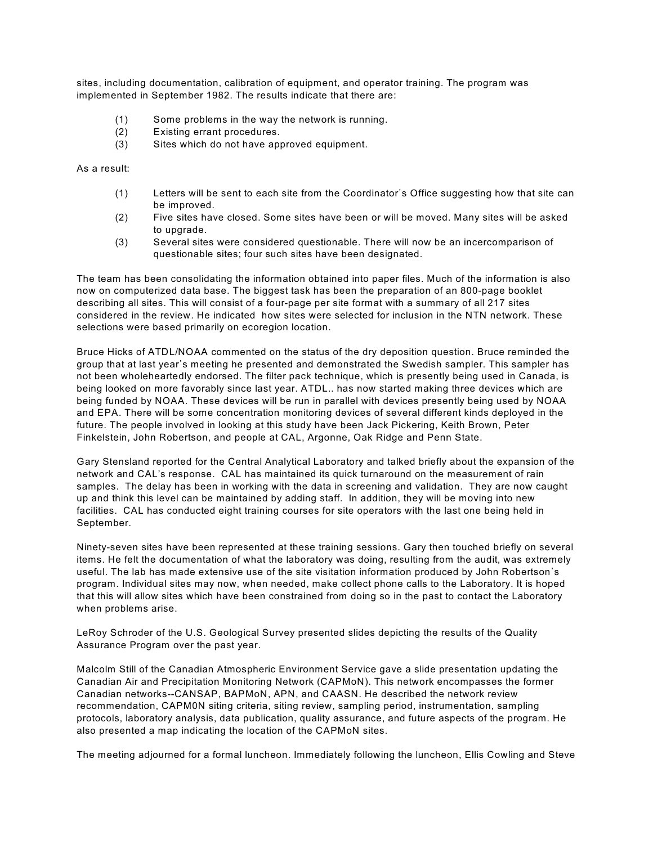sites, including documentation, calibration of equipment, and operator training. The program was implemented in September 1982. The results indicate that there are:

- (1) Some problems in the way the network is running.
- (2) Existing errant procedures.
- (3) Sites which do not have approved equipment.

As a result:

- (1) Letters will be sent to each site from the Coordinator's Office suggesting how that site can be improved.
- (2) Five sites have closed. Some sites have been or will be moved. Many sites will be asked to upgrade.
- (3) Several sites were considered questionable. There will now be an incercomparison of questionable sites; four such sites have been designated.

The team has been consolidating the information obtained into paper files. Much of the information is also now on computerized data base. The biggest task has been the preparation of an 800-page booklet describing all sites. This will consist of a four-page per site format with a summary of all 217 sites considered in the review. He indicated how sites were selected for inclusion in the NTN network. These selections were based primarily on ecoregion location.

Bruce Hicks of ATDL/NOAA commented on the status of the dry deposition question. Bruce reminded the group that at last year's meeting he presented and demonstrated the Swedish sampler. This sampler has not been wholeheartedly endorsed. The filter pack technique, which is presently being used in Canada, is being looked on more favorably since last year. ATDL.. has now started making three devices which are being funded by NOAA. These devices will be run in parallel with devices presently being used by NOAA and EPA. There will be some concentration monitoring devices of several different kinds deployed in the future. The people involved in looking at this study have been Jack Pickering, Keith Brown, Peter Finkelstein, John Robertson, and people at CAL, Argonne, Oak Ridge and Penn State.

Gary Stensland reported for the Central Analytical Laboratory and talked briefly about the expansion of the network and CAL's response. CAL has maintained its quick turnaround on the measurement of rain samples. The delay has been in working with the data in screening and validation. They are now caught up and think this level can be maintained by adding staff. In addition, they will be moving into new facilities. CAL has conducted eight training courses for site operators with the last one being held in September.

Ninety-seven sites have been represented at these training sessions. Gary then touched briefly on several items. He felt the documentation of what the laboratory was doing, resulting from the audit, was extremely useful. The lab has made extensive use of the site visitation information produced by John Robertson's program. Individual sites may now, when needed, make collect phone calls to the Laboratory. It is hoped that this will allow sites which have been constrained from doing so in the past to contact the Laboratory when problems arise.

LeRoy Schroder of the U.S. Geological Survey presented slides depicting the results of the Quality Assurance Program over the past year.

Malcolm Still of the Canadian Atmospheric Environment Service gave a slide presentation updating the Canadian Air and Precipitation Monitoring Network (CAPMoN). This network encompasses the former Canadian networks--CANSAP, BAPMoN, APN, and CAASN. He described the network review recommendation, CAPM0N siting criteria, siting review, sampling period, instrumentation, sampling protocols, laboratory analysis, data publication, quality assurance, and future aspects of the program. He also presented a map indicating the location of the CAPMoN sites.

The meeting adjourned for a formal luncheon. Immediately following the luncheon, Ellis Cowling and Steve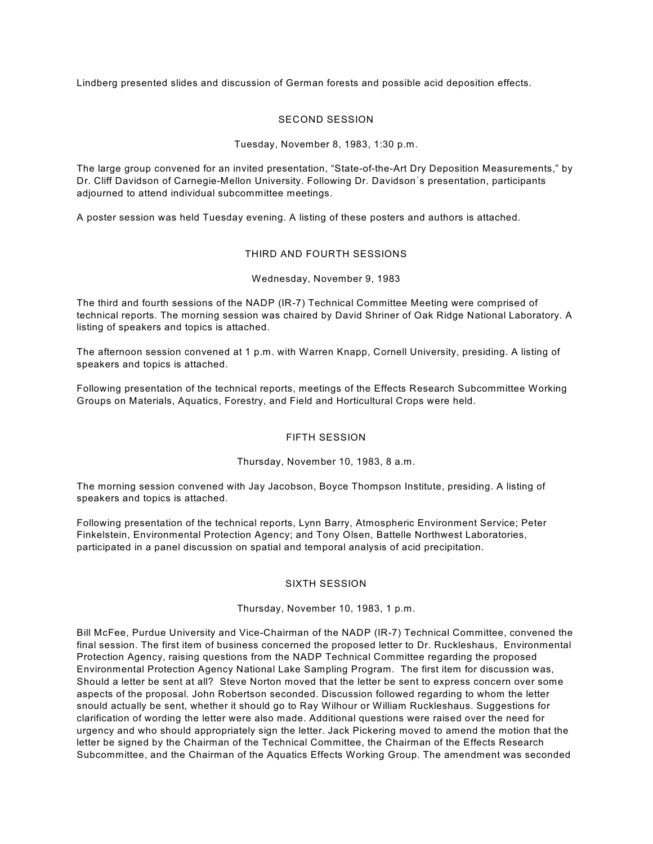Lindberg presented slides and discussion of German forests and possible acid deposition effects.

## SECOND SESSION

#### Tuesday, November 8, 1983, 1:30 p.m.

The large group convened for an invited presentation, "State-of-the-Art Dry Deposition Measurements," by Dr. Cliff Davidson of Carnegie-Mellon University. Following Dr. Davidson's presentation, participants adjourned to attend individual subcommittee meetings.

A poster session was held Tuesday evening. A listing of these posters and authors is attached.

## THIRD AND FOURTH SESSIONS

## Wednesday, November 9, 1983

The third and fourth sessions of the NADP (IR-7) Technical Committee Meeting were comprised of technical reports. The morning session was chaired by David Shriner of Oak Ridge National Laboratory. A listing of speakers and topics is attached.

The afternoon session convened at 1 p.m. with Warren Knapp, Cornell University, presiding. A listing of speakers and topics is attached.

Following presentation of the technical reports, meetings of the Effects Research Subcommittee Working Groups on Materials, Aquatics, Forestry, and Field and Horticultural Crops were held.

# FIFTH SESSION

#### Thursday, November 10, 1983, 8 a.m.

The morning session convened with Jay Jacobson, Boyce Thompson Institute, presiding. A listing of speakers and topics is attached.

Following presentation of the technical reports, Lynn Barry, Atmospheric Environment Service; Peter Finkelstein, Environmental Protection Agency; and Tony Olsen, Battelle Northwest Laboratories, participated in a panel discussion on spatial and temporal analysis of acid precipitation.

#### SIXTH SESSION

#### Thursday, November 10, 1983, 1 p.m.

Bill McFee, Purdue University and Vice-Chairman of the NADP (IR-7) Technical Committee, convened the final session. The first item of business concerned the proposed letter to Dr. Ruckleshaus, Environmental Protection Agency, raising questions from the NADP Technical Committee regarding the proposed Environmental Protection Agency National Lake Sampling Program. The first item for discussion was, Should a letter be sent at all? Steve Norton moved that the letter be sent to express concern over some aspects of the proposal. John Robertson seconded. Discussion followed regarding to whom the letter snould actually be sent, whether it should go to Ray Wilhour or William Ruckleshaus. Suggestions for clarification of wording the letter were also made. Additional questions were raised over the need for urgency and who should appropriately sign the letter. Jack Pickering moved to amend the motion that the letter be signed by the Chairman of the Technical Committee, the Chairman of the Effects Research Subcommittee, and the Chairman of the Aquatics Effects Working Group. The amendment was seconded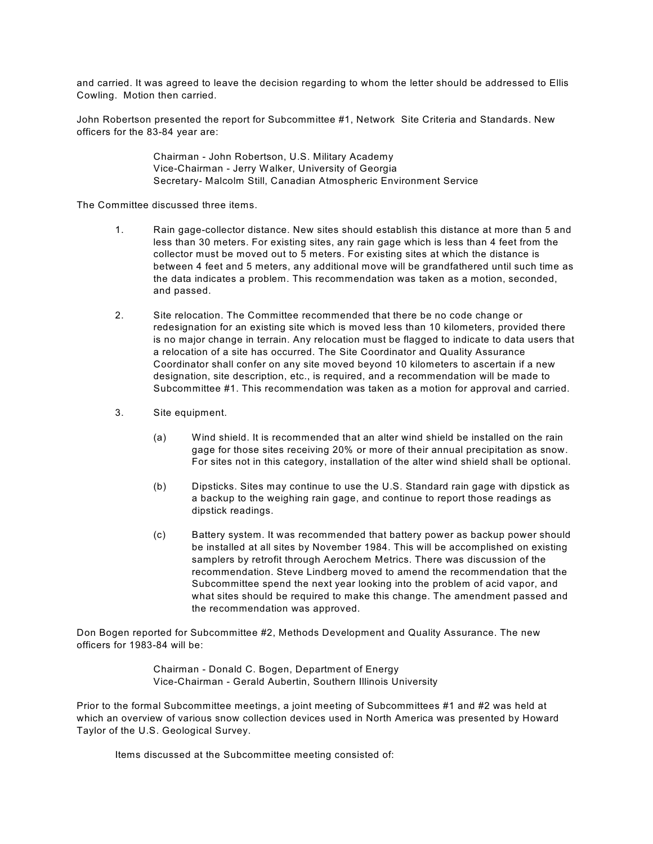and carried. It was agreed to leave the decision regarding to whom the letter should be addressed to Ellis Cowling. Motion then carried.

John Robertson presented the report for Subcommittee #1, Network Site Criteria and Standards. New officers for the 83-84 year are:

> Chairman - John Robertson, U.S. Military Academy Vice-Chairman - Jerry Walker, University of Georgia Secretary- Malcolm Still, Canadian Atmospheric Environment Service

The Committee discussed three items.

- 1. Rain gage-collector distance. New sites should establish this distance at more than 5 and less than 30 meters. For existing sites, any rain gage which is less than 4 feet from the collector must be moved out to 5 meters. For existing sites at which the distance is between 4 feet and 5 meters, any additional move will be grandfathered until such time as the data indicates a problem. This recommendation was taken as a motion, seconded, and passed.
- 2. Site relocation. The Committee recommended that there be no code change or redesignation for an existing site which is moved less than 10 kilometers, provided there is no major change in terrain. Any relocation must be flagged to indicate to data users that a relocation of a site has occurred. The Site Coordinator and Quality Assurance Coordinator shall confer on any site moved beyond 10 kilometers to ascertain if a new designation, site description, etc., is required, and a recommendation will be made to Subcommittee #1. This recommendation was taken as a motion for approval and carried.
- 3. Site equipment.
	- (a) Wind shield. It is recommended that an alter wind shield be installed on the rain gage for those sites receiving 20% or more of their annual precipitation as snow. For sites not in this category, installation of the alter wind shield shall be optional.
	- (b) Dipsticks. Sites may continue to use the U.S. Standard rain gage with dipstick as a backup to the weighing rain gage, and continue to report those readings as dipstick readings.
	- (c) Battery system. It was recommended that battery power as backup power should be installed at all sites by November 1984. This will be accomplished on existing samplers by retrofit through Aerochem Metrics. There was discussion of the recommendation. Steve Lindberg moved to amend the recommendation that the Subcommittee spend the next year looking into the problem of acid vapor, and what sites should be required to make this change. The amendment passed and the recommendation was approved.

Don Bogen reported for Subcommittee #2, Methods Development and Quality Assurance. The new officers for 1983-84 will be:

> Chairman - Donald C. Bogen, Department of Energy Vice-Chairman - Gerald Aubertin, Southern Illinois University

Prior to the formal Subcommittee meetings, a joint meeting of Subcommittees #1 and #2 was held at which an overview of various snow collection devices used in North America was presented by Howard Taylor of the U.S. Geological Survey.

Items discussed at the Subcommittee meeting consisted of: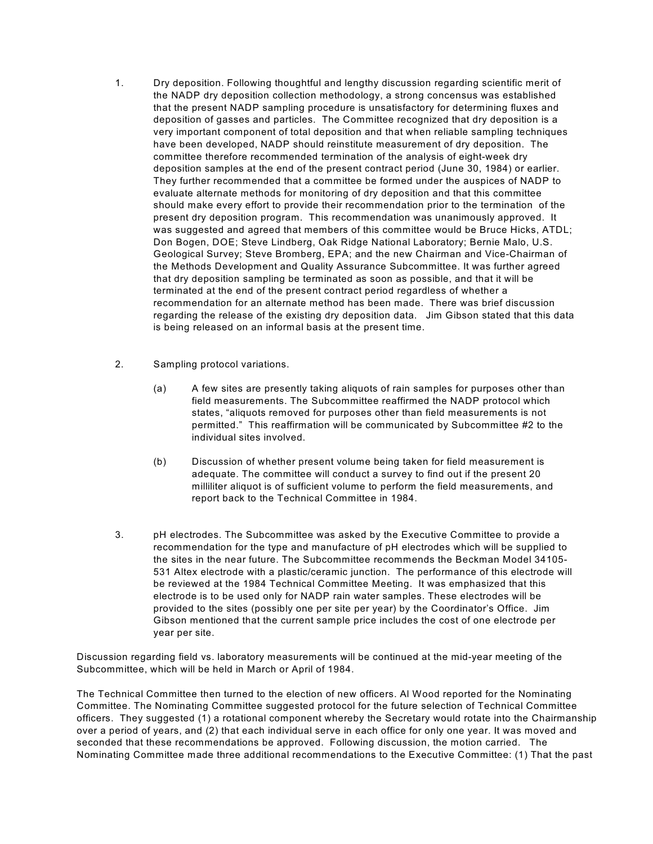- 1. Dry deposition. Following thoughtful and lengthy discussion regarding scientific merit of the NADP dry deposition collection methodology, a strong concensus was established that the present NADP sampling procedure is unsatisfactory for determining fluxes and deposition of gasses and particles. The Committee recognized that dry deposition is a very important component of total deposition and that when reliable sampling techniques have been developed, NADP should reinstitute measurement of dry deposition. The committee therefore recommended termination of the analysis of eight-week dry deposition samples at the end of the present contract period (June 30, 1984) or earlier. They further recommended that a committee be formed under the auspices of NADP to evaluate alternate methods for monitoring of dry deposition and that this committee should make every effort to provide their recommendation prior to the termination of the present dry deposition program. This recommendation was unanimously approved. It was suggested and agreed that members of this committee would be Bruce Hicks, ATDL; Don Bogen, DOE; Steve Lindberg, Oak Ridge National Laboratory; Bernie Malo, U.S. Geological Survey; Steve Bromberg, EPA; and the new Chairman and Vice-Chairman of the Methods Development and Quality Assurance Subcommittee. It was further agreed that dry deposition sampling be terminated as soon as possible, and that it will be terminated at the end of the present contract period regardless of whether a recommendation for an alternate method has been made. There was brief discussion regarding the release of the existing dry deposition data. Jim Gibson stated that this data is being released on an informal basis at the present time.
- 2. Sampling protocol variations.
	- (a) A few sites are presently taking aliquots of rain samples for purposes other than field measurements. The Subcommittee reaffirmed the NADP protocol which states, "aliquots removed for purposes other than field measurements is not permitted." This reaffirmation will be communicated by Subcommittee #2 to the individual sites involved.
	- (b) Discussion of whether present volume being taken for field measurement is adequate. The committee will conduct a survey to find out if the present 20 milliliter aliquot is of sufficient volume to perform the field measurements, and report back to the Technical Committee in 1984.
- 3. pH electrodes. The Subcommittee was asked by the Executive Committee to provide a recommendation for the type and manufacture of pH electrodes which will be supplied to the sites in the near future. The Subcommittee recommends the Beckman Model 34105- 531 Altex electrode with a plastic/ceramic junction. The performance of this electrode will be reviewed at the 1984 Technical Committee Meeting. It was emphasized that this electrode is to be used only for NADP rain water samples. These electrodes will be provided to the sites (possibly one per site per year) by the Coordinator's Office. Jim Gibson mentioned that the current sample price includes the cost of one electrode per year per site.

Discussion regarding field vs. laboratory measurements will be continued at the mid-year meeting of the Subcommittee, which will be held in March or April of 1984.

The Technical Committee then turned to the election of new officers. Al Wood reported for the Nominating Committee. The Nominating Committee suggested protocol for the future selection of Technical Committee officers. They suggested (1) a rotational component whereby the Secretary would rotate into the Chairmanship over a period of years, and (2) that each individual serve in each office for only one year. It was moved and seconded that these recommendations be approved. Following discussion, the motion carried. The Nominating Committee made three additional recommendations to the Executive Committee: (1) That the past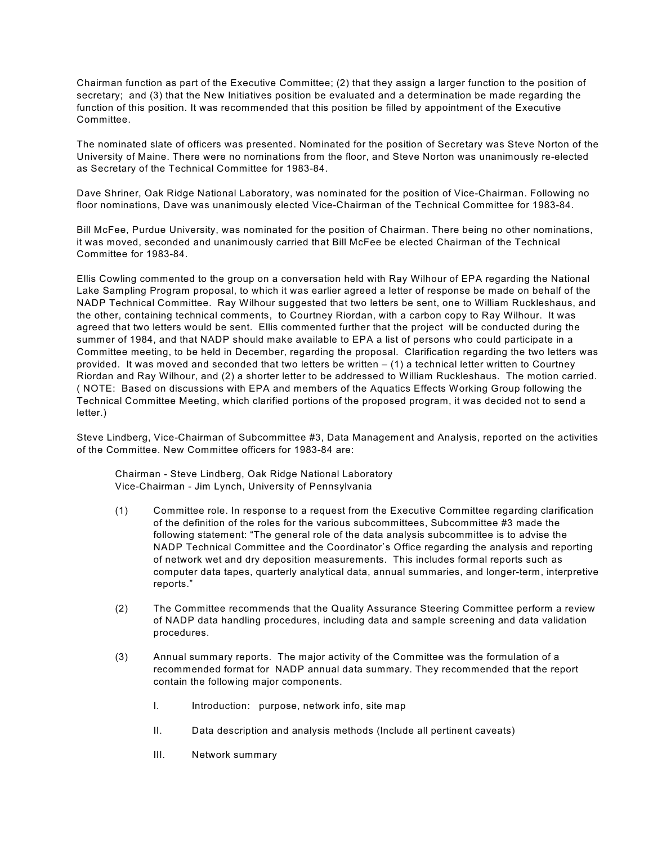Chairman function as part of the Executive Committee; (2) that they assign a larger function to the position of secretary; and (3) that the New Initiatives position be evaluated and a determination be made regarding the function of this position. It was recommended that this position be filled by appointment of the Executive Committee.

The nominated slate of officers was presented. Nominated for the position of Secretary was Steve Norton of the University of Maine. There were no nominations from the floor, and Steve Norton was unanimously re-elected as Secretary of the Technical Committee for 1983-84.

Dave Shriner, Oak Ridge National Laboratory, was nominated for the position of Vice-Chairman. Following no floor nominations, Dave was unanimously elected Vice-Chairman of the Technical Committee for 1983-84.

Bill McFee, Purdue University, was nominated for the position of Chairman. There being no other nominations, it was moved, seconded and unanimously carried that Bill McFee be elected Chairman of the Technical Committee for 1983-84.

Ellis Cowling commented to the group on a conversation held with Ray Wilhour of EPA regarding the National Lake Sampling Program proposal, to which it was earlier agreed a letter of response be made on behalf of the NADP Technical Committee. Ray Wilhour suggested that two letters be sent, one to William Ruckleshaus, and the other, containing technical comments, to Courtney Riordan, with a carbon copy to Ray Wilhour. It was agreed that two letters would be sent. Ellis commented further that the project will be conducted during the summer of 1984, and that NADP should make available to EPA a list of persons who could participate in a Committee meeting, to be held in December, regarding the proposal. Clarification regarding the two letters was provided. It was moved and seconded that two letters be written – (1) a technical letter written to Courtney Riordan and Ray Wilhour, and (2) a shorter letter to be addressed to William Ruckleshaus. The motion carried. ( NOTE: Based on discussions with EPA and members of the Aquatics Effects Working Group following the Technical Committee Meeting, which clarified portions of the proposed program, it was decided not to send a letter.)

Steve Lindberg, Vice-Chairman of Subcommittee #3, Data Management and Analysis, reported on the activities of the Committee. New Committee officers for 1983-84 are:

Chairman - Steve Lindberg, Oak Ridge National Laboratory Vice-Chairman - Jim Lynch, University of Pennsylvania

- (1) Committee role. In response to a request from the Executive Committee regarding clarification of the definition of the roles for the various subcommittees, Subcommittee #3 made the following statement: "The general role of the data analysis subcommittee is to advise the NADP Technical Committee and the Coordinator's Office regarding the analysis and reporting of network wet and dry deposition measurements. This includes formal reports such as computer data tapes, quarterly analytical data, annual summaries, and longer-term, interpretive reports."
- (2) The Committee recommends that the Quality Assurance Steering Committee perform a review of NADP data handling procedures, including data and sample screening and data validation procedures.
- (3) Annual summary reports. The major activity of the Committee was the formulation of a recommended format for NADP annual data summary. They recommended that the report contain the following major components.
	- I. Introduction: purpose, network info, site map
	- II. Data description and analysis methods (Include all pertinent caveats)
	- III. Network summary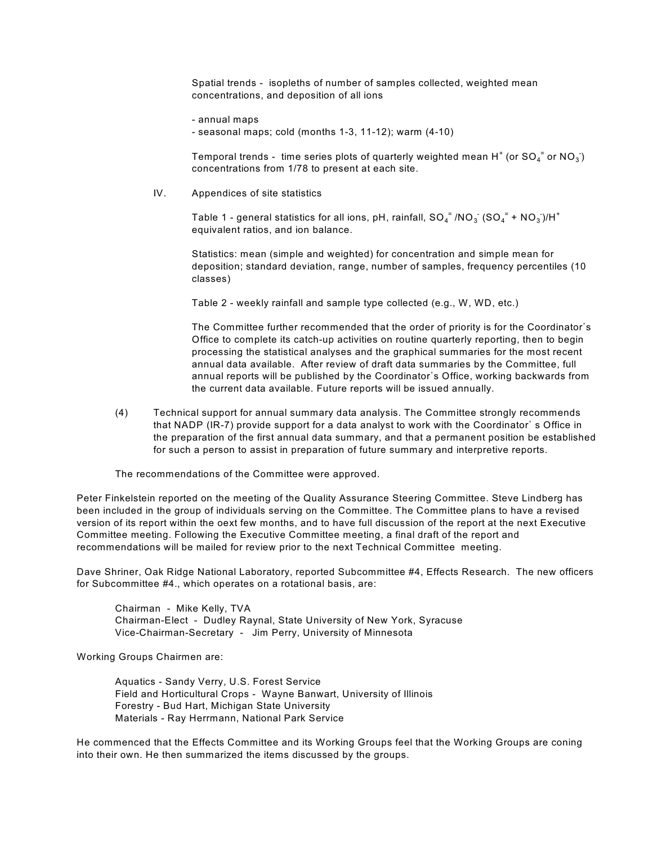Spatial trends - isopleths of number of samples collected, weighted mean concentrations, and deposition of all ions

- annual maps
- seasonal maps; cold (months 1-3, 11-12); warm (4-10)

Temporal trends - time series plots of quarterly weighted mean H $^{\ast}$  (or SO $_4^{-^{\circ}}$  or NO $_3^{\circ})$ concentrations from 1/78 to present at each site.

IV. Appendices of site statistics

Table 1 - general statistics for all ions, pH, rainfall, SO $_4^-$  /NO $_3^-$  (SO $_4^-$  + NO $_3^-$ )/H $^{\ast}$ equivalent ratios, and ion balance.

Statistics: mean (simple and weighted) for concentration and simple mean for deposition; standard deviation, range, number of samples, frequency percentiles (10 classes)

Table 2 - weekly rainfall and sample type collected (e.g., W, WD, etc.)

The Committee further recommended that the order of priority is for the Coordinator's Office to complete its catch-up activities on routine quarterly reporting, then to begin processing the statistical analyses and the graphical summaries for the most recent annual data available. After review of draft data summaries by the Committee, full annual reports will be published by the Coordinator's Office, working backwards from the current data available. Future reports will be issued annually.

(4) Technical support for annual summary data analysis. The Committee strongly recommends that NADP (IR-7) provide support for a data analyst to work with the Coordinator' s Office in the preparation of the first annual data summary, and that a permanent position be established for such a person to assist in preparation of future summary and interpretive reports.

The recommendations of the Committee were approved.

Peter Finkelstein reported on the meeting of the Quality Assurance Steering Committee. Steve Lindberg has been included in the group of individuals serving on the Committee. The Committee plans to have a revised version of its report within the oext few months, and to have full discussion of the report at the next Executive Committee meeting. Following the Executive Committee meeting, a final draft of the report and recommendations will be mailed for review prior to the next Technical Committee meeting.

Dave Shriner, Oak Ridge National Laboratory, reported Subcommittee #4, Effects Research. The new officers for Subcommittee #4., which operates on a rotational basis, are:

Chairman - Mike Kelly, TVA Chairman-Elect - Dudley Raynal, State University of New York, Syracuse Vice-Chairman-Secretary - Jim Perry, University of Minnesota

Working Groups Chairmen are:

Aquatics - Sandy Verry, U.S. Forest Service Field and Horticultural Crops - Wayne Banwart, University of Illinois Forestry - Bud Hart, Michigan State University Materials - Ray Herrmann, National Park Service

He commenced that the Effects Committee and its Working Groups feel that the Working Groups are coning into their own. He then summarized the items discussed by the groups.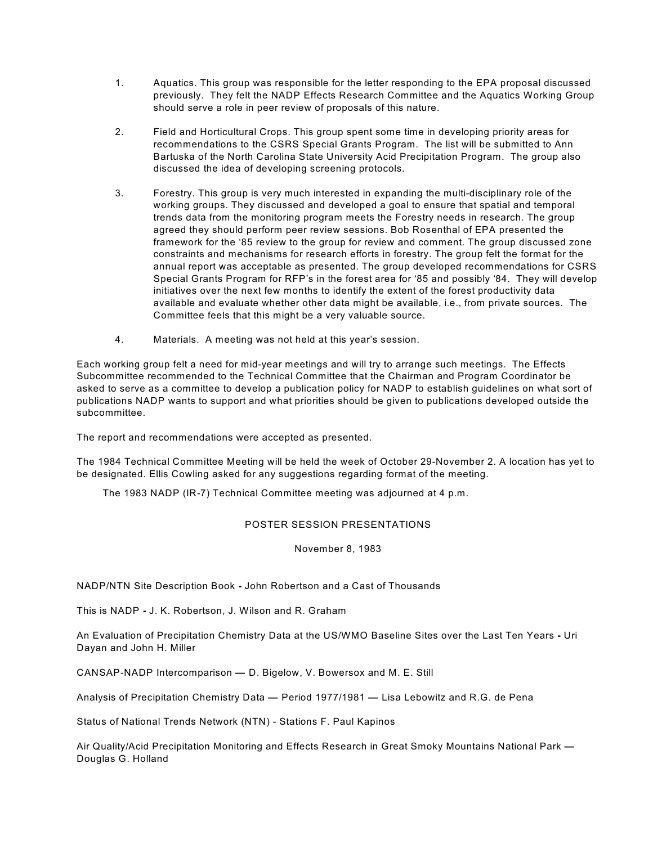- 1. Aquatics. This group was responsible for the letter responding to the EPA proposal discussed previously. They felt the NADP Effects Research Committee and the Aquatics Working Group should serve a role in peer review of proposals of this nature.
- 2. Field and Horticultural Crops. This group spent some time in developing priority areas for recommendations to the CSRS Special Grants Program. The list will be submitted to Ann Bartuska of the North Carolina State University Acid Precipitation Program. The group also discussed the idea of developing screening protocols.
- 3. Forestry. This group is very much interested in expanding the multi-disciplinary role of the working groups. They discussed and developed a goal to ensure that spatial and temporal trends data from the monitoring program meets the Forestry needs in research. The group agreed they should perform peer review sessions. Bob Rosenthal of EPA presented the framework for the '85 review to the group for review and comment. The group discussed zone constraints and mechanisms for research efforts in forestry. The group felt the format for the annual report was acceptable as presented. The group developed recommendations for CSRS Special Grants Program for RFP's in the forest area for '85 and possibly '84. They will develop initiatives over the next few months to identify the extent of the forest productivity data available and evaluate whether other data might be available, i.e., from private sources. The Committee feels that this might be a very valuable source.
- 4. Materials. A meeting was not held at this year's session.

Each working group felt a need for mid-year meetings and will try to arrange such meetings. The Effects Subcommittee recommended to the Technical Committee that the Chairman and Program Coordinator be asked to serve as a committee to develop a publication policy for NADP to establish guidelines on what sort of publications NADP wants to support and what priorities should be given to publications developed outside the subcommittee.

The report and recommendations were accepted as presented.

The 1984 Technical Committee Meeting will be held the week of October 29-November 2. A location has yet to be designated. Ellis Cowling asked for any suggestions regarding format of the meeting.

The 1983 NADP (IR-7) Technical Committee meeting was adjourned at 4 p.m.

# POSTER SESSION PRESENTATIONS

November 8, 1983

NADP/NTN Site Description Book **-** John Robertson and a Cast of Thousands

This is NADP **-** J. K. Robertson, J. Wilson and R. Graham

An Evaluation of Precipitation Chemistry Data at the US/WMO Baseline Sites over the Last Ten Years **-** Uri Dayan and John H. Miller

CANSAP-NADP Intercomparison **—** D. Bigelow, V. Bowersox and M. E. Still

Analysis of Precipitation Chemistry Data **—** Period 1977/1981 **—** Lisa Lebowitz and R.G. de Pena

Status of National Trends Network (NTN) - Stations F. Paul Kapinos

Air Quality/Acid Precipitation Monitoring and Effects Research in Great Smoky Mountains National Park **—** Douglas G. Holland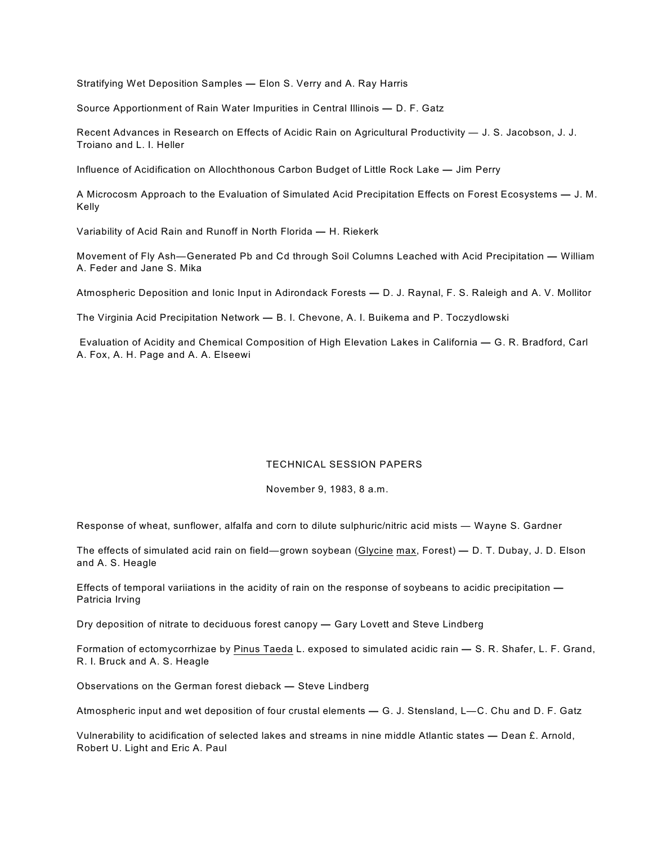Stratifying Wet Deposition Samples **—** Elon S. Verry and A. Ray Harris

Source Apportionment of Rain Water Impurities in Central Illinois **—** D. F. Gatz

Recent Advances in Research on Effects of Acidic Rain on Agricultural Productivity — J. S. Jacobson, J. J. Troiano and L. I. Heller

Influence of Acidification on Allochthonous Carbon Budget of Little Rock Lake **—** Jim Perry

A Microcosm Approach to the Evaluation of Simulated Acid Precipitation Effects on Forest Ecosystems **—** J. M. Kelly

Variability of Acid Rain and Runoff in North Florida **—** H. Riekerk

Movement of Fly Ash—Generated Pb and Cd through Soil Columns Leached with Acid Precipitation **—** William A. Feder and Jane S. Mika

Atmospheric Deposition and Ionic Input in Adirondack Forests **—** D. J. Raynal, F. S. Raleigh and A. V. Mollitor

The Virginia Acid Precipitation Network **—** B. I. Chevone, A. I. Buikema and P. Toczydlowski

 Evaluation of Acidity and Chemical Composition of High Elevation Lakes in California **—** G. R. Bradford, Carl A. Fox, A. H. Page and A. A. Elseewi

#### TECHNICAL SESSION PAPERS

November 9, 1983, 8 a.m.

Response of wheat, sunflower, alfalfa and corn to dilute sulphuric/nitric acid mists — Wayne S. Gardner

The effects of simulated acid rain on field—grown soybean (Glycine max, Forest) **—** D. T. Dubay, J. D. Elson and A. S. Heagle

Effects of temporal variiations in the acidity of rain on the response of soybeans to acidic precipitation **—** Patricia Irving

Dry deposition of nitrate to deciduous forest canopy **—** Gary Lovett and Steve Lindberg

Formation of ectomycorrhizae by Pinus Taeda L. exposed to simulated acidic rain **—** S. R. Shafer, L. F. Grand, R. I. Bruck and A. S. Heagle

Observations on the German forest dieback **—** Steve Lindberg

Atmospheric input and wet deposition of four crustal elements **—** G. J. Stensland, L—C. Chu and D. F. Gatz

Vulnerability to acidification of selected lakes and streams in nine middle Atlantic states **—** Dean £. Arnold, Robert U. Light and Eric A. Paul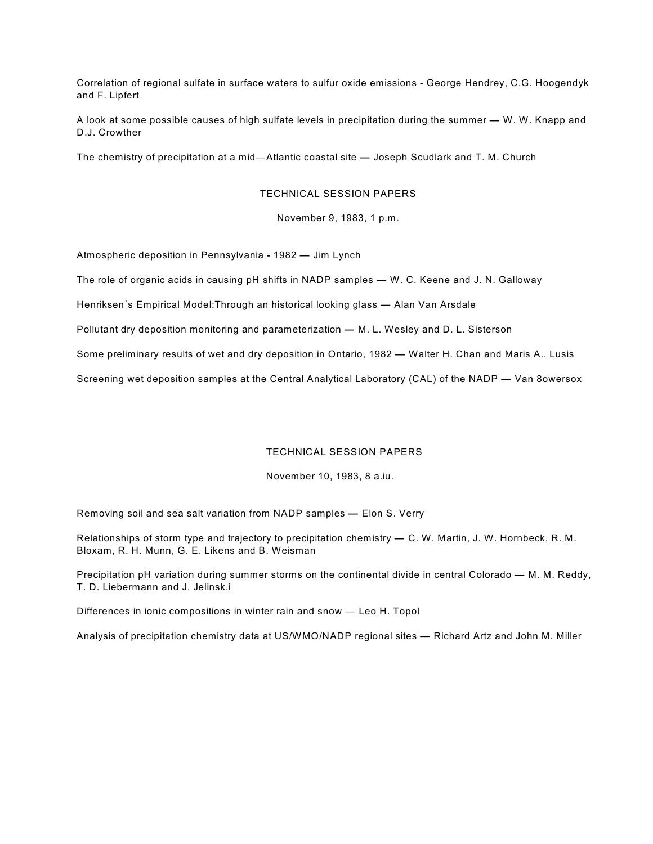Correlation of regional sulfate in surface waters to sulfur oxide emissions - George Hendrey, C.G. Hoogendyk and F. Lipfert

A look at some possible causes of high sulfate levels in precipitation during the summer **—** W. W. Knapp and D.J. Crowther

The chemistry of precipitation at a mid—Atlantic coastal site **—** Joseph Scudlark and T. M. Church

#### TECHNICAL SESSION PAPERS

November 9, 1983, 1 p.m.

Atmospheric deposition in Pennsylvania **-** 1982 **—** Jim Lynch

The role of organic acids in causing pH shifts in NADP samples **—** W. C. Keene and J. N. Galloway

Henriksen\*s Empirical Model:Through an historical looking glass **—** Alan Van Arsdale

Pollutant dry deposition monitoring and parameterization **—** M. L. Wesley and D. L. Sisterson

Some preliminary results of wet and dry deposition in Ontario, 1982 **—** Walter H. Chan and Maris A.. Lusis

Screening wet deposition samples at the Central Analytical Laboratory (CAL) of the NADP **—** Van 8owersox

## TECHNICAL SESSION PAPERS

November 10, 1983, 8 a.iu.

Removing soil and sea salt variation from NADP samples **—** Elon S. Verry

Relationships of storm type and trajectory to precipitation chemistry **—** C. W. Martin, J. W. Hornbeck, R. M. Bloxam, R. H. Munn, G. E. Likens and B. Weisman

Precipitation pH variation during summer storms on the continental divide in central Colorado — M. M. Reddy, T. D. Liebermann and J. Jelinsk.i

Differences in ionic compositions in winter rain and snow — Leo H. Topol

Analysis of precipitation chemistry data at US/WMO/NADP regional sites — Richard Artz and John M. Miller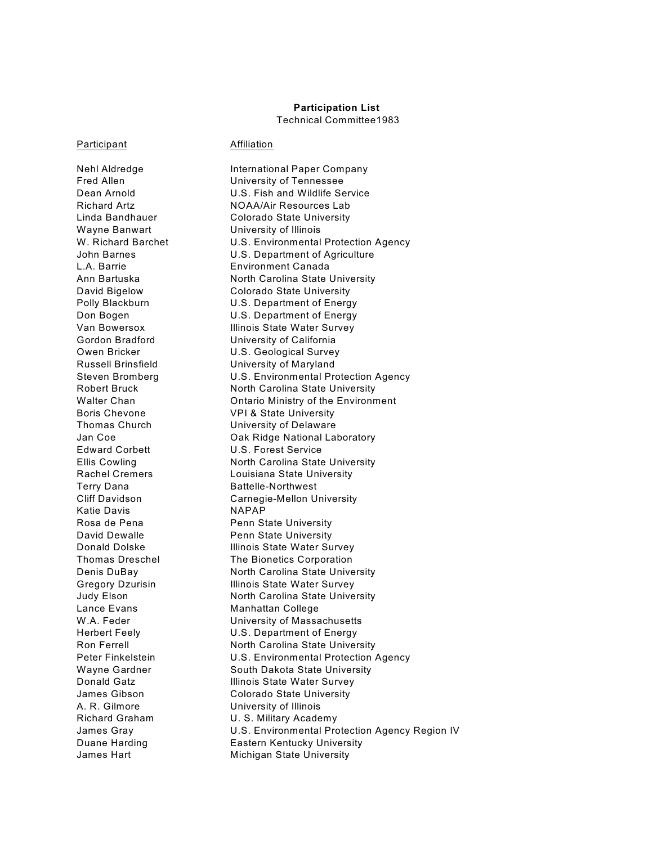# **Participation List**

Technical Committee1983

#### Participant **Affiliation**

Wayne Banwart University of Illinois Terry Dana Battelle-Northwest Katie Davis **NAPAP** Lance Evans Manhattan College A. R. Gilmore University of Illinois

Nehl Aldredge **International Paper Company** Fred Allen **University of Tennessee** Dean Arnold U.S. Fish and Wildlife Service Richard Artz **NOAA/Air Resources Lab** Linda Bandhauer Colorado State University W. Richard Barchet U.S. Environmental Protection Agency John Barnes U.S. Department of Agriculture L.A. Barrie Environment Canada Ann Bartuska North Carolina State University David Bigelow Colorado State University Polly Blackburn U.S. Department of Energy Don Bogen U.S. Department of Energy Van Bowersox Illinois State Water Survey Gordon Bradford University of California Owen Bricker **U.S. Geological Survey** Russell Brinsfield University of Maryland Steven Bromberg U.S. Environmental Protection Agency Robert Bruck North Carolina State University Walter Chan **Chan** Ontario Ministry of the Environment Boris Chevone VPI & State University Thomas Church University of Delaware Jan Coe **Oak Ridge National Laboratory** Edward Corbett U.S. Forest Service Ellis Cowling North Carolina State University Rachel Cremers Louisiana State University Cliff Davidson Carnegie-Mellon University Rosa de Pena Penn State University David Dewalle **Penn State University** Donald Dolske **Illinois State Water Survey** Thomas Dreschel The Bionetics Corporation Denis DuBay North Carolina State University Gregory Dzurisin **Illinois State Water Survey** Judy Elson North Carolina State University W.A. Feder **W.A.** Feder **W.A.** Feder Herbert Feely U.S. Department of Energy Ron Ferrell **North Carolina State University** Peter Finkelstein **U.S. Environmental Protection Agency** Wayne Gardner South Dakota State University Donald Gatz **Illinois State Water Survey** James Gibson Colorado State University Richard Graham U.S. Military Academy James Gray U.S. Environmental Protection Agency Region IV Duane Harding **Eastern Kentucky University** James Hart **Michigan State University**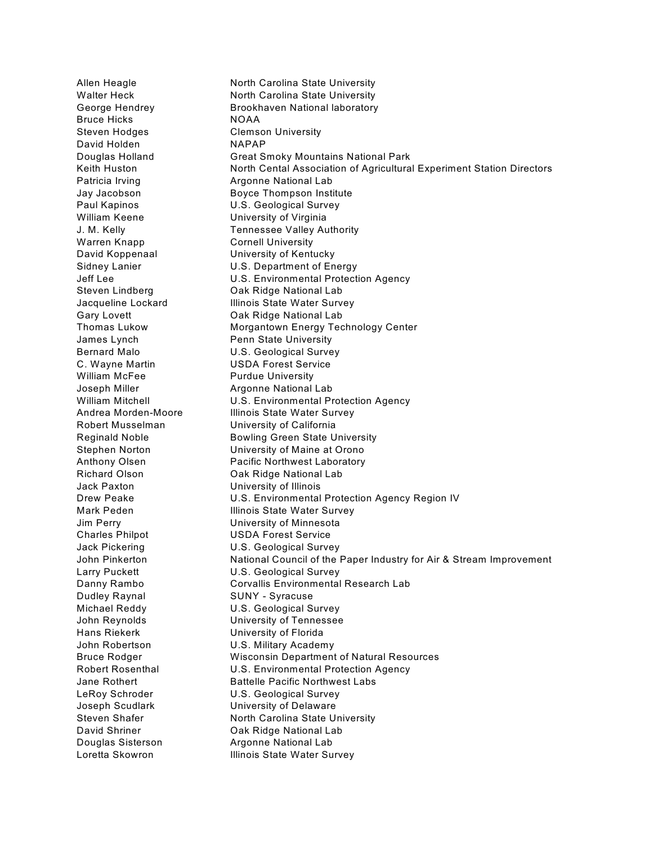Bruce Hicks NOAA Steven Hodges Clemson University David Holden NAPAP William Keene **University of Virginia** Warren Knapp Cornell University William McFee Purdue University Jack Paxton University of Illinois Charles Philpot **USDA Forest Service** Dudley Raynal SUNY - Syracuse Hans Riekerk University of Florida

Allen Heagle North Carolina State University Walter Heck North Carolina State University George Hendrey **Brookhaven National laboratory** Douglas Holland Great Smoky Mountains National Park Keith Huston **North Cental Association of Agricultural Experiment Station Directors** Patricia Irving **Argonne National Lab** Jay Jacobson Boyce Thompson Institute Paul Kapinos **U.S. Geological Survey** J. M. Kelly Tennessee Valley Authority David Koppenaal University of Kentucky Sidney Lanier **U.S. Department of Energy** Jeff Lee **U.S. Environmental Protection Agency** Steven Lindberg **Oak Ridge National Lab** Jacqueline Lockard **Illinois State Water Survey** Gary Lovett **Cary Lovett** Oak Ridge National Lab Thomas Lukow Morgantown Energy Technology Center James Lynch **Penn State University** Bernard Malo **U.S. Geological Survey** C. Wayne Martin USDA Forest Service Joseph Miller **Argonne National Lab** William Mitchell **William Mitchell** U.S. Environmental Protection Agency Andrea Morden-Moore Illinois State Water Survey Robert Musselman University of California Reginald Noble **Bowling Green State University** Stephen Norton University of Maine at Orono Anthony Olsen **Pacific Northwest Laboratory** Richard Olson Oak Ridge National Lab Drew Peake **U.S. Environmental Protection Agency Region IV** Mark Peden **Illinois State Water Survey** Jim Perry University of Minnesota Jack Pickering U.S. Geological Survey John Pinkerton **National Council of the Paper Industry for Air & Stream Improvement** Larry Puckett **U.S. Geological Survey** Danny Rambo Corvallis Environmental Research Lab Michael Reddy U.S. Geological Survey John Reynolds University of Tennessee John Robertson U.S. Military Academy Bruce Rodger Wisconsin Department of Natural Resources Robert Rosenthal U.S. Environmental Protection Agency Jane Rothert **Battelle Pacific Northwest Labs** LeRoy Schroder **U.S. Geological Survey** Joseph Scudlark University of Delaware Steven Shafer North Carolina State University David Shriner **Oak Ridge National Lab** Douglas Sisterson **Argonne National Lab** Loretta Skowron **Illinois State Water Survey**